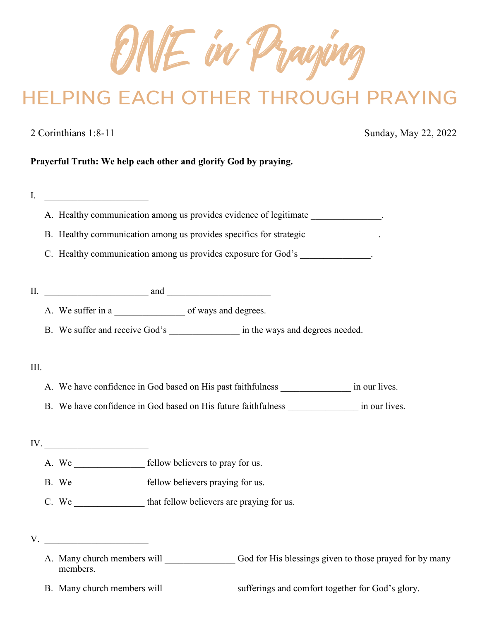ONE in Praying

# **HELPING EACH OTHER THROUGH PRAYING**

2 Corinthians 1:8-11 Sunday, May 22, 2022

# **Prayerful Truth: We help each other and glorify God by praying.**

| I.  |                                                                                                                                                                                                                                                                                               |                                                                                                     |  |
|-----|-----------------------------------------------------------------------------------------------------------------------------------------------------------------------------------------------------------------------------------------------------------------------------------------------|-----------------------------------------------------------------------------------------------------|--|
|     |                                                                                                                                                                                                                                                                                               | A. Healthy communication among us provides evidence of legitimate _____________.                    |  |
|     |                                                                                                                                                                                                                                                                                               | B. Healthy communication among us provides specifics for strategic _____________.                   |  |
|     |                                                                                                                                                                                                                                                                                               | C. Healthy communication among us provides exposure for God's ______________.                       |  |
|     |                                                                                                                                                                                                                                                                                               |                                                                                                     |  |
| II. | $\frac{1}{2}$ and $\frac{1}{2}$ and $\frac{1}{2}$ and $\frac{1}{2}$ and $\frac{1}{2}$ and $\frac{1}{2}$ and $\frac{1}{2}$ and $\frac{1}{2}$ and $\frac{1}{2}$ and $\frac{1}{2}$ and $\frac{1}{2}$ and $\frac{1}{2}$ and $\frac{1}{2}$ and $\frac{1}{2}$ and $\frac{1}{2}$ and $\frac{1}{2}$ a |                                                                                                     |  |
|     |                                                                                                                                                                                                                                                                                               |                                                                                                     |  |
|     |                                                                                                                                                                                                                                                                                               | B. We suffer and receive God's _______________________ in the ways and degrees needed.              |  |
|     |                                                                                                                                                                                                                                                                                               |                                                                                                     |  |
|     |                                                                                                                                                                                                                                                                                               |                                                                                                     |  |
|     |                                                                                                                                                                                                                                                                                               | A. We have confidence in God based on His past faithfulness ___________________ in our lives.       |  |
|     |                                                                                                                                                                                                                                                                                               | B. We have confidence in God based on His future faithfulness _________________ in our lives.       |  |
|     |                                                                                                                                                                                                                                                                                               |                                                                                                     |  |
|     | $\text{IV.}\_\_\_\_\_\_$                                                                                                                                                                                                                                                                      |                                                                                                     |  |
|     | A. We _____________________ fellow believers to pray for us.                                                                                                                                                                                                                                  |                                                                                                     |  |
|     | B. We <b>Example 20</b> Fellow believers praying for us.                                                                                                                                                                                                                                      |                                                                                                     |  |
|     | C. We that fellow believers are praying for us.                                                                                                                                                                                                                                               |                                                                                                     |  |
|     |                                                                                                                                                                                                                                                                                               |                                                                                                     |  |
| V.  | <u> 1989 - Johann Barbara, martin amerikan ba</u>                                                                                                                                                                                                                                             |                                                                                                     |  |
|     | members.                                                                                                                                                                                                                                                                                      |                                                                                                     |  |
|     |                                                                                                                                                                                                                                                                                               | B. Many church members will ______________________ sufferings and comfort together for God's glory. |  |